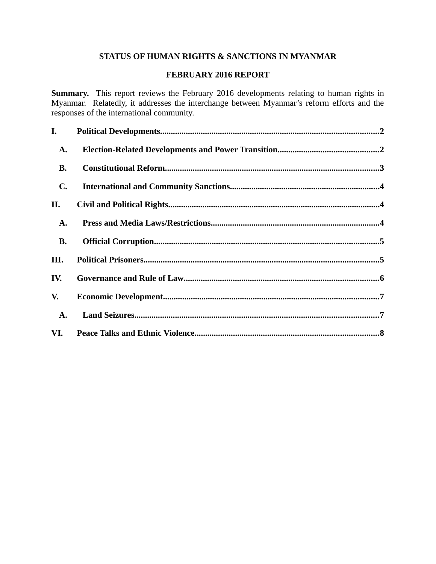# **STATUS OF HUMAN RIGHTS & SANCTIONS IN MYANMAR**

#### **FEBRUARY 2016 REPORT**

**Summary.** This report reviews the February 2016 developments relating to human rights in Myanmar. Relatedly, it addresses the interchange between Myanmar's reform efforts and the responses of the international community.

| I.          |  |
|-------------|--|
| A.          |  |
| <b>B.</b>   |  |
| $C_{\cdot}$ |  |
| II.         |  |
| A.          |  |
| <b>B.</b>   |  |
| III.        |  |
| IV.         |  |
| V.          |  |
| A.          |  |
| VI.         |  |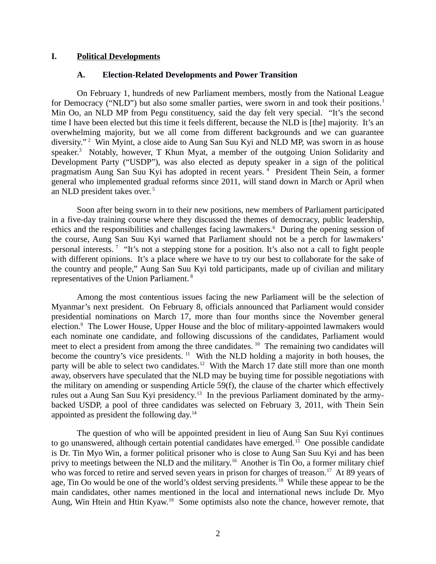#### **I. Political Developments**

#### <span id="page-1-1"></span><span id="page-1-0"></span>**A. Election-Related Developments and Power Transition**

On February 1, hundreds of new Parliament members, mostly from the National League for Democracy ("NLD") but also some smaller parties, were sworn in and took their positions.<sup>1</sup> Min Oo, an NLD MP from Pegu constituency, said the day felt very special. "It's the second time I have been elected but this time it feels different, because the NLD is [the] majority. It's an overwhelming majority, but we all come from different backgrounds and we can guarantee diversity."<sup>2</sup> Win Myint, a close aide to Aung San Suu Kyi and NLD MP, was sworn in as house speaker.<sup>3</sup> Notably, however, T Khun Myat, a member of the outgoing Union Solidarity and Development Party ("USDP"), was also elected as deputy speaker in a sign of the political pragmatism Aung San Suu Kyi has adopted in recent years. 4 President Thein Sein, a former general who implemented gradual reforms since 2011, will stand down in March or April when an NLD president takes over.<sup>5</sup>

Soon after being sworn in to their new positions, new members of Parliament participated in a five-day training course where they discussed the themes of democracy, public leadership, ethics and the responsibilities and challenges facing lawmakers.<sup>6</sup> During the opening session of the course, Aung San Suu Kyi warned that Parliament should not be a perch for lawmakers' personal interests. <sup>7</sup> "It's not a stepping stone for a position. It's also not a call to fight people with different opinions. It's a place where we have to try our best to collaborate for the sake of the country and people," Aung San Suu Kyi told participants, made up of civilian and military representatives of the Union Parliament. <sup>8</sup>

Among the most contentious issues facing the new Parliament will be the selection of Myanmar's next president. On February 8, officials announced that Parliament would consider presidential nominations on March 17, more than four months since the November general election.<sup>9</sup> The Lower House, Upper House and the bloc of military-appointed lawmakers would each nominate one candidate, and following discussions of the candidates, Parliament would meet to elect a president from among the three candidates.<sup>10</sup> The remaining two candidates will become the country's vice presidents. <sup>11</sup> With the NLD holding a majority in both houses, the party will be able to select two candidates.<sup>12</sup> With the March 17 date still more than one month away, observers have speculated that the NLD may be buying time for possible negotiations with the military on amending or suspending Article 59(f), the clause of the charter which effectively rules out a Aung San Suu Kyi presidency.<sup>13</sup> In the previous Parliament dominated by the armybacked USDP, a pool of three candidates was selected on February 3, 2011, with Thein Sein appointed as president the following day.<sup>14</sup>

The question of who will be appointed president in lieu of Aung San Suu Kyi continues to go unanswered, although certain potential candidates have emerged.<sup>15</sup> One possible candidate is Dr. Tin Myo Win, a former political prisoner who is close to Aung San Suu Kyi and has been privy to meetings between the NLD and the military.<sup>16</sup> Another is Tin Oo, a former military chief who was forced to retire and served seven years in prison for charges of treason.<sup>17</sup> At 89 years of age, Tin Oo would be one of the world's oldest serving presidents.<sup>18</sup> While these appear to be the main candidates, other names mentioned in the local and international news include Dr. Myo Aung, Win Htein and Htin Kyaw.<sup>19</sup> Some optimists also note the chance, however remote, that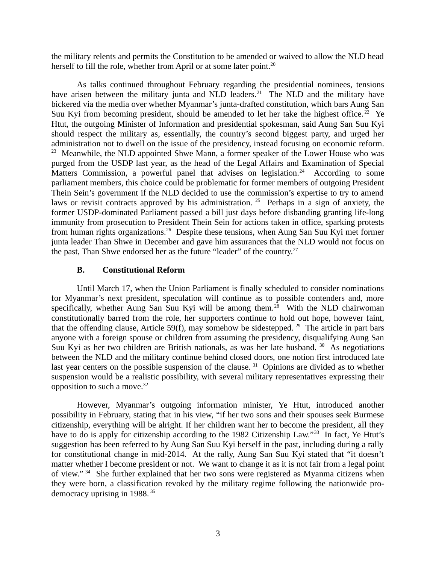the military relents and permits the Constitution to be amended or waived to allow the NLD head herself to fill the role, whether from April or at some later point.<sup>20</sup>

As talks continued throughout February regarding the presidential nominees, tensions have arisen between the military junta and NLD leaders.<sup>21</sup> The NLD and the military have bickered via the media over whether Myanmar's junta-drafted constitution, which bars Aung San Suu Kyi from becoming president, should be amended to let her take the highest office.<sup>22</sup> Ye Htut, the outgoing Minister of Information and presidential spokesman, said Aung San Suu Kyi should respect the military as, essentially, the country's second biggest party, and urged her administration not to dwell on the issue of the presidency, instead focusing on economic reform. <sup>23</sup> Meanwhile, the NLD appointed Shwe Mann, a former speaker of the Lower House who was purged from the USDP last year, as the head of the Legal Affairs and Examination of Special Matters Commission, a powerful panel that advises on legislation.<sup>24</sup> According to some parliament members, this choice could be problematic for former members of outgoing President Thein Sein's government if the NLD decided to use the commission's expertise to try to amend laws or revisit contracts approved by his administration. <sup>25</sup> Perhaps in a sign of anxiety, the former USDP-dominated Parliament passed a bill just days before disbanding granting life-long immunity from prosecution to President Thein Sein for actions taken in office, sparking protests from human rights organizations.<sup>26</sup> Despite these tensions, when Aung San Suu Kyi met former junta leader Than Shwe in December and gave him assurances that the NLD would not focus on the past, Than Shwe endorsed her as the future "leader" of the country.<sup>27</sup>

#### <span id="page-2-0"></span>**B. Constitutional Reform**

Until March 17, when the Union Parliament is finally scheduled to consider nominations for Myanmar's next president, speculation will continue as to possible contenders and, more specifically, whether Aung San Suu Kyi will be among them.<sup>28</sup> With the NLD chairwoman constitutionally barred from the role, her supporters continue to hold out hope, however faint, that the offending clause, Article 59(f), may somehow be sidestepped. <sup>29</sup> The article in part bars anyone with a foreign spouse or children from assuming the presidency, disqualifying Aung San Suu Kyi as her two children are British nationals, as was her late husband. <sup>30</sup> As negotiations between the NLD and the military continue behind closed doors, one notion first introduced late last year centers on the possible suspension of the clause.<sup>31</sup> Opinions are divided as to whether suspension would be a realistic possibility, with several military representatives expressing their opposition to such a move. $32$ 

However, Myanmar's outgoing information minister, Ye Htut, introduced another possibility in February, stating that in his view, "if her two sons and their spouses seek Burmese citizenship, everything will be alright. If her children want her to become the president, all they have to do is apply for citizenship according to the 1982 Citizenship Law."<sup>33</sup> In fact, Ye Htut's suggestion has been referred to by Aung San Suu Kyi herself in the past, including during a rally for constitutional change in mid-2014. At the rally, Aung San Suu Kyi stated that "it doesn't matter whether I become president or not. We want to change it as it is not fair from a legal point of view." <sup>34</sup> She further explained that her two sons were registered as Myanma citizens when they were born, a classification revoked by the military regime following the nationwide prodemocracy uprising in 1988. <sup>35</sup>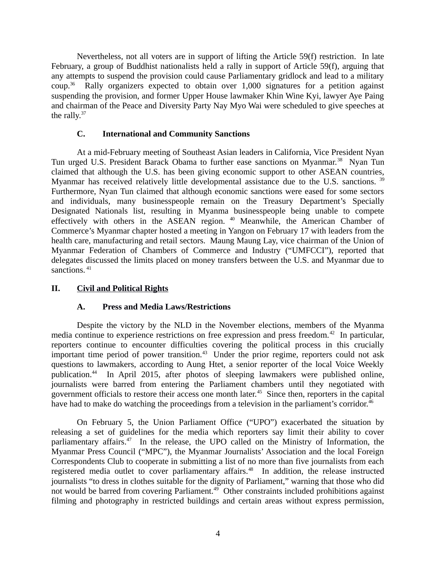Nevertheless, not all voters are in support of lifting the Article 59(f) restriction. In late February, a group of Buddhist nationalists held a rally in support of Article 59(f), arguing that any attempts to suspend the provision could cause Parliamentary gridlock and lead to a military  $\text{coup.}^{36}$  Rally organizers expected to obtain over 1,000 signatures for a petition against suspending the provision, and former Upper House lawmaker Khin Wine Kyi, lawyer Aye Paing and chairman of the Peace and Diversity Party Nay Myo Wai were scheduled to give speeches at the rally. $37$ 

### <span id="page-3-2"></span>**C. International and Community Sanctions**

At a mid-February meeting of Southeast Asian leaders in California, Vice President Nyan Tun urged U.S. President Barack Obama to further ease sanctions on Myanmar.<sup>38</sup> Nyan Tun claimed that although the U.S. has been giving economic support to other ASEAN countries, Myanmar has received relatively little developmental assistance due to the U.S. sanctions.<sup>39</sup> Furthermore, Nyan Tun claimed that although economic sanctions were eased for some sectors and individuals, many businesspeople remain on the Treasury Department's Specially Designated Nationals list, resulting in Myanma businesspeople being unable to compete effectively with others in the ASEAN region. <sup>40</sup> Meanwhile, the American Chamber of Commerce's Myanmar chapter hosted a meeting in Yangon on February 17 with leaders from the health care, manufacturing and retail sectors. Maung Maung Lay, vice chairman of the Union of Myanmar Federation of Chambers of Commerce and Industry ("UMFCCI"), reported that delegates discussed the limits placed on money transfers between the U.S. and Myanmar due to sanctions.<sup>41</sup>

## **II. Civil and Political Rights**

#### <span id="page-3-1"></span><span id="page-3-0"></span>**A. Press and Media Laws/Restrictions**

Despite the victory by the NLD in the November elections, members of the Myanma media continue to experience restrictions on free expression and press freedom.<sup>42</sup> In particular, reporters continue to encounter difficulties covering the political process in this crucially important time period of power transition.<sup>43</sup> Under the prior regime, reporters could not ask questions to lawmakers, according to Aung Htet, a senior reporter of the local Voice Weekly publication.<sup>44</sup> In April 2015, after photos of sleeping lawmakers were published online, journalists were barred from entering the Parliament chambers until they negotiated with government officials to restore their access one month later.<sup>45</sup> Since then, reporters in the capital have had to make do watching the proceedings from a television in the parliament's corridor.<sup>46</sup>

On February 5, the Union Parliament Office ("UPO") exacerbated the situation by releasing a set of guidelines for the media which reporters say limit their ability to cover parliamentary affairs.<sup>47</sup> In the release, the UPO called on the Ministry of Information, the Myanmar Press Council ("MPC"), the Myanmar Journalists' Association and the local Foreign Correspondents Club to cooperate in submitting a list of no more than five journalists from each registered media outlet to cover parliamentary affairs.<sup>48</sup> In addition, the release instructed journalists "to dress in clothes suitable for the dignity of Parliament," warning that those who did not would be barred from covering Parliament.<sup>49</sup> Other constraints included prohibitions against filming and photography in restricted buildings and certain areas without express permission,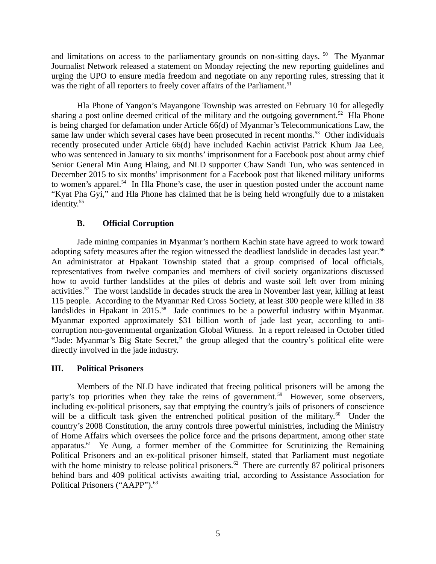and limitations on access to the parliamentary grounds on non-sitting days.  $50$  The Myanmar Journalist Network released a statement on Monday rejecting the new reporting guidelines and urging the UPO to ensure media freedom and negotiate on any reporting rules, stressing that it was the right of all reporters to freely cover affairs of the Parliament.<sup>51</sup>

Hla Phone of Yangon's Mayangone Township was arrested on February 10 for allegedly sharing a post online deemed critical of the military and the outgoing government.<sup>52</sup> Hla Phone is being charged for defamation under Article 66(d) of Myanmar's Telecommunications Law, the same law under which several cases have been prosecuted in recent months.<sup>53</sup> Other individuals recently prosecuted under Article 66(d) have included Kachin activist Patrick Khum Jaa Lee, who was sentenced in January to six months' imprisonment for a Facebook post about army chief Senior General Min Aung Hlaing, and NLD supporter Chaw Sandi Tun, who was sentenced in December 2015 to six months' imprisonment for a Facebook post that likened military uniforms to women's apparel.<sup>54</sup> In Hla Phone's case, the user in question posted under the account name "Kyat Pha Gyi," and Hla Phone has claimed that he is being held wrongfully due to a mistaken identity.<sup>55</sup>

## <span id="page-4-1"></span>**B. Official Corruption**

Jade mining companies in Myanmar's northern Kachin state have agreed to work toward adopting safety measures after the region witnessed the deadliest landslide in decades last year.<sup>56</sup> An administrator at Hpakant Township stated that a group comprised of local officials, representatives from twelve companies and members of civil society organizations discussed how to avoid further landslides at the piles of debris and waste soil left over from mining activities.<sup>57</sup> The worst landslide in decades struck the area in November last year, killing at least 115 people. According to the Myanmar Red Cross Society, at least 300 people were killed in 38 landslides in Hpakant in 2015.<sup>58</sup> Jade continues to be a powerful industry within Myanmar. Myanmar exported approximately \$31 billion worth of jade last year, according to anticorruption non-governmental organization Global Witness. In a report released in October titled "Jade: Myanmar's Big State Secret," the group alleged that the country's political elite were directly involved in the jade industry.

## <span id="page-4-0"></span>**III. Political Prisoners**

Members of the NLD have indicated that freeing political prisoners will be among the party's top priorities when they take the reins of government.<sup>59</sup> However, some observers, including ex-political prisoners, say that emptying the country's jails of prisoners of conscience will be a difficult task given the entrenched political position of the military. $60$  Under the country's 2008 Constitution, the army controls three powerful ministries, including the Ministry of Home Affairs which oversees the police force and the prisons department, among other state apparatus. $61$  Ye Aung, a former member of the Committee for Scrutinizing the Remaining Political Prisoners and an ex-political prisoner himself, stated that Parliament must negotiate with the home ministry to release political prisoners.<sup>62</sup> There are currently 87 political prisoners behind bars and 409 political activists awaiting trial, according to Assistance Association for Political Prisoners ("AAPP").<sup>63</sup>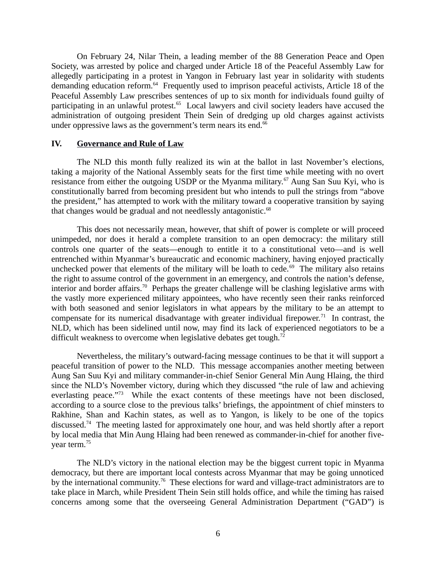On February 24, Nilar Thein, a leading member of the 88 Generation Peace and Open Society, was arrested by police and charged under Article 18 of the Peaceful Assembly Law for allegedly participating in a protest in Yangon in February last year in solidarity with students demanding education reform.<sup>64</sup> Frequently used to imprison peaceful activists, Article 18 of the Peaceful Assembly Law prescribes sentences of up to six month for individuals found guilty of participating in an unlawful protest.<sup>65</sup> Local lawyers and civil society leaders have accused the administration of outgoing president Thein Sein of dredging up old charges against activists under oppressive laws as the government's term nears its end. $66$ 

#### <span id="page-5-0"></span>**IV. Governance and Rule of Law**

The NLD this month fully realized its win at the ballot in last November's elections, taking a majority of the National Assembly seats for the first time while meeting with no overt resistance from either the outgoing USDP or the Myanma military.<sup>67</sup> Aung San Suu Kyi, who is constitutionally barred from becoming president but who intends to pull the strings from "above the president," has attempted to work with the military toward a cooperative transition by saying that changes would be gradual and not needlessly antagonistic. $68$ 

This does not necessarily mean, however, that shift of power is complete or will proceed unimpeded, nor does it herald a complete transition to an open democracy: the military still controls one quarter of the seats—enough to entitle it to a constitutional veto—and is well entrenched within Myanmar's bureaucratic and economic machinery, having enjoyed practically unchecked power that elements of the military will be loath to cede. $69$  The military also retains the right to assume control of the government in an emergency, and controls the nation's defense, interior and border affairs.<sup>70</sup> Perhaps the greater challenge will be clashing legislative arms with the vastly more experienced military appointees, who have recently seen their ranks reinforced with both seasoned and senior legislators in what appears by the military to be an attempt to compensate for its numerical disadvantage with greater individual firepower.<sup>71</sup> In contrast, the NLD, which has been sidelined until now, may find its lack of experienced negotiators to be a difficult weakness to overcome when legislative debates get tough. $72$ 

Nevertheless, the military's outward-facing message continues to be that it will support a peaceful transition of power to the NLD. This message accompanies another meeting between Aung San Suu Kyi and military commander-in-chief Senior General Min Aung Hlaing, the third since the NLD's November victory, during which they discussed "the rule of law and achieving everlasting peace."<sup>73</sup> While the exact contents of these meetings have not been disclosed, according to a source close to the previous talks' briefings, the appointment of chief minsters to Rakhine, Shan and Kachin states, as well as to Yangon, is likely to be one of the topics discussed.<sup>74</sup> The meeting lasted for approximately one hour, and was held shortly after a report by local media that Min Aung Hlaing had been renewed as commander-in-chief for another fiveyear term.<sup>75</sup>

The NLD's victory in the national election may be the biggest current topic in Myanma democracy, but there are important local contests across Myanmar that may be going unnoticed by the international community.<sup>76</sup> These elections for ward and village-tract administrators are to take place in March, while President Thein Sein still holds office, and while the timing has raised concerns among some that the overseeing General Administration Department ("GAD") is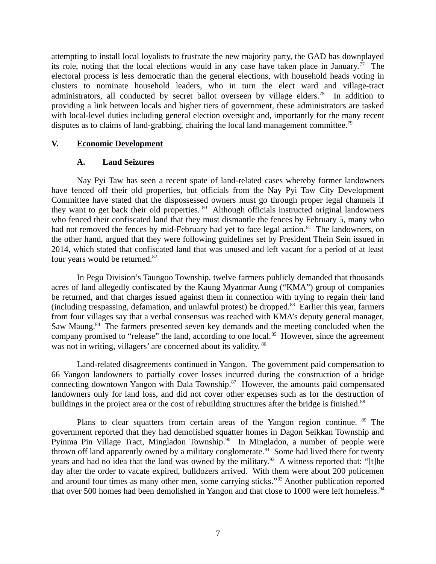attempting to install local loyalists to frustrate the new majority party, the GAD has downplayed its role, noting that the local elections would in any case have taken place in January.<sup>77</sup> The electoral process is less democratic than the general elections, with household heads voting in clusters to nominate household leaders, who in turn the elect ward and village-tract administrators, all conducted by secret ballot overseen by village elders.<sup>78</sup> In addition to providing a link between locals and higher tiers of government, these administrators are tasked with local-level duties including general election oversight and, importantly for the many recent disputes as to claims of land-grabbing, chairing the local land management committee.<sup>79</sup>

#### **V. Economic Development**

#### <span id="page-6-1"></span><span id="page-6-0"></span>**A. Land Seizures**

Nay Pyi Taw has seen a recent spate of land-related cases whereby former landowners have fenced off their old properties, but officials from the Nay Pyi Taw City Development Committee have stated that the dispossessed owners must go through proper legal channels if they want to get back their old properties. <sup>80</sup> Although officials instructed original landowners who fenced their confiscated land that they must dismantle the fences by February 5, many who had not removed the fences by mid-February had yet to face legal action.<sup>81</sup> The landowners, on the other hand, argued that they were following guidelines set by President Thein Sein issued in 2014, which stated that confiscated land that was unused and left vacant for a period of at least four years would be returned.<sup>82</sup>

In Pegu Division's Taungoo Township, twelve farmers publicly demanded that thousands acres of land allegedly confiscated by the Kaung Myanmar Aung ("KMA") group of companies be returned, and that charges issued against them in connection with trying to regain their land (including trespassing, defamation, and unlawful protest) be dropped.<sup>83</sup> Earlier this year, farmers from four villages say that a verbal consensus was reached with KMA's deputy general manager, Saw Maung.<sup>84</sup> The farmers presented seven key demands and the meeting concluded when the company promised to "release" the land, according to one local.<sup>85</sup> However, since the agreement was not in writing, villagers' are concerned about its validity. 86

Land-related disagreements continued in Yangon. The government paid compensation to 66 Yangon landowners to partially cover losses incurred during the construction of a bridge connecting downtown Yangon with Dala Township.<sup>87</sup> However, the amounts paid compensated landowners only for land loss, and did not cover other expenses such as for the destruction of buildings in the project area or the cost of rebuilding structures after the bridge is finished.<sup>88</sup>

Plans to clear squatters from certain areas of the Yangon region continue.  $89$  The government reported that they had demolished squatter homes in Dagon Seikkan Township and Pyinma Pin Village Tract, Mingladon Township.<sup>90</sup> In Mingladon, a number of people were thrown off land apparently owned by a military conglomerate.<sup>91</sup> Some had lived there for twenty years and had no idea that the land was owned by the military.<sup>92</sup> A witness reported that: "[t]he day after the order to vacate expired, bulldozers arrived. With them were about 200 policemen and around four times as many other men, some carrying sticks."<sup>93</sup> Another publication reported that over 500 homes had been demolished in Yangon and that close to 1000 were left homeless.<sup>94</sup>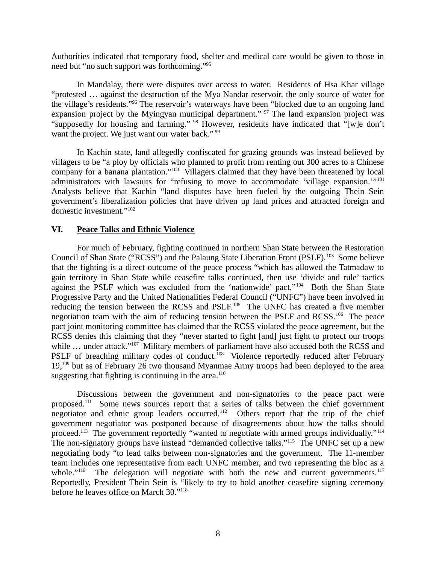Authorities indicated that temporary food, shelter and medical care would be given to those in need but "no such support was forthcoming."<sup>95</sup>

In Mandalay, there were disputes over access to water. Residents of Hsa Khar village "protested … against the destruction of the Mya Nandar reservoir, the only source of water for the village's residents."<sup>96</sup> The reservoir's waterways have been "blocked due to an ongoing land expansion project by the Myingyan municipal department." <sup>97</sup> The land expansion project was "supposedly for housing and farming." <sup>98</sup> However, residents have indicated that "[w]e don't want the project. We just want our water back." <sup>99</sup>

In Kachin state, land allegedly confiscated for grazing grounds was instead believed by villagers to be "a ploy by officials who planned to profit from renting out 300 acres to a Chinese company for a banana plantation."<sup>100</sup> Villagers claimed that they have been threatened by local administrators with lawsuits for "refusing to move to accommodate 'village expansion.'"<sup>101</sup> Analysts believe that Kachin "land disputes have been fueled by the outgoing Thein Sein government's liberalization policies that have driven up land prices and attracted foreign and domestic investment."<sup>102</sup>

#### <span id="page-7-0"></span>**VI. Peace Talks and Ethnic Violence**

For much of February, fighting continued in northern Shan State between the Restoration Council of Shan State ("RCSS") and the Palaung State Liberation Front (PSLF).<sup>103</sup> Some believe that the fighting is a direct outcome of the peace process "which has allowed the Tatmadaw to gain territory in Shan State while ceasefire talks continued, then use 'divide and rule' tactics against the PSLF which was excluded from the 'nationwide' pact."<sup>104</sup> Both the Shan State Progressive Party and the United Nationalities Federal Council ("UNFC") have been involved in reducing the tension between the RCSS and PSLF.<sup>105</sup> The UNFC has created a five member negotiation team with the aim of reducing tension between the PSLF and RCSS.<sup>106</sup> The peace pact joint monitoring committee has claimed that the RCSS violated the peace agreement, but the RCSS denies this claiming that they "never started to fight [and] just fight to protect our troops while ... under attack."<sup>107</sup> Military members of parliament have also accused both the RCSS and PSLF of breaching military codes of conduct.<sup>108</sup> Violence reportedly reduced after February 19,<sup>109</sup> but as of February 26 two thousand Myanmae Army troops had been deployed to the area suggesting that fighting is continuing in the area. $110$ 

Discussions between the government and non-signatories to the peace pact were proposed.<sup>111</sup> Some news sources report that a series of talks between the chief government negotiator and ethnic group leaders occurred.<sup>112</sup> Others report that the trip of the chief government negotiator was postponed because of disagreements about how the talks should proceed.<sup>113</sup> The government reportedly "wanted to negotiate with armed groups individually."<sup>114</sup> The non-signatory groups have instead "demanded collective talks."<sup>115</sup> The UNFC set up a new negotiating body "to lead talks between non-signatories and the government. The 11-member team includes one representative from each UNFC member, and two representing the bloc as a whole." $116$  The delegation will negotiate with both the new and current governments. $117$ Reportedly, President Thein Sein is "likely to try to hold another ceasefire signing ceremony before he leaves office on March 30."<sup>118</sup>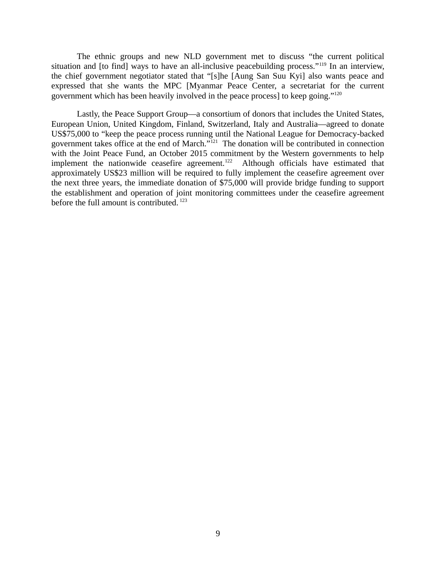The ethnic groups and new NLD government met to discuss "the current political situation and [to find] ways to have an all-inclusive peacebuilding process."<sup>119</sup> In an interview, the chief government negotiator stated that "[s]he [Aung San Suu Kyi] also wants peace and expressed that she wants the MPC [Myanmar Peace Center, a secretariat for the current government which has been heavily involved in the peace process] to keep going."<sup>120</sup>

Lastly, the Peace Support Group—a consortium of donors that includes the United States, European Union, United Kingdom, Finland, Switzerland, Italy and Australia—agreed to donate US\$75,000 to "keep the peace process running until the National League for Democracy-backed government takes office at the end of March."<sup>121</sup> The donation will be contributed in connection with the Joint Peace Fund, an October 2015 commitment by the Western governments to help implement the nationwide ceasefire agreement.<sup>122</sup> Although officials have estimated that approximately US\$23 million will be required to fully implement the ceasefire agreement over the next three years, the immediate donation of \$75,000 will provide bridge funding to support the establishment and operation of joint monitoring committees under the ceasefire agreement before the full amount is contributed. <sup>123</sup>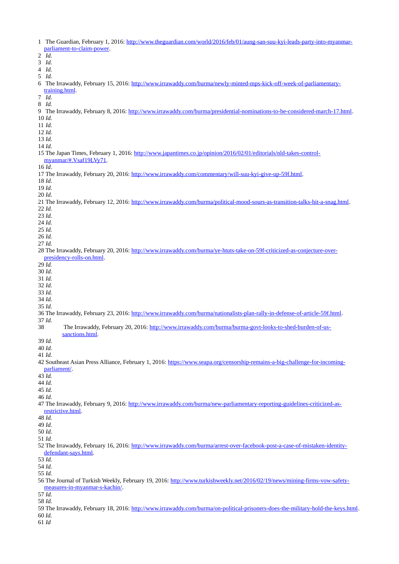1 The Guardian, February 1, 2016: [http://www.theguardian.com/world/2016/feb/01/aung-san-suu-kyi-leads-party-into-myanmar](http://www.theguardian.com/world/2016/feb/01/aung-san-suu-kyi-leads-party-into-myanmar-parliament-to-claim-power)[parliament-to-claim-power.](http://www.theguardian.com/world/2016/feb/01/aung-san-suu-kyi-leads-party-into-myanmar-parliament-to-claim-power) *Id. Id. Id. Id.* 6 The Irrawaddy, February 15, 2016: [http://www.irrawaddy.com/burma/newly-minted-mps-kick-off-week-of-parliamentary](http://www.irrawaddy.com/burma/newly-minted-mps-kick-off-week-of-parliamentary-training.html)[training.html.](http://www.irrawaddy.com/burma/newly-minted-mps-kick-off-week-of-parliamentary-training.html) *Id. Id.* 9 The Irrawaddy, February 8, 2016: [http://www.irrawaddy.com/burma/presidential-nominations-to-be-considered-march-17.html.](http://www.irrawaddy.com/burma/presidential-nominations-to-be-considered-march-17.html) *Id. Id. Id. Id. Id.* 15 The Japan Times, February 1, 2016: [http://www.japantimes.co.jp/opinion/2016/02/01/editorials/nld-takes-control](http://www.japantimes.co.jp/opinion/2016/02/01/editorials/nld-takes-control-myanmar/#.Vsaf19LVy71)[myanmar/#.Vsaf19LVy71.](http://www.japantimes.co.jp/opinion/2016/02/01/editorials/nld-takes-control-myanmar/#.Vsaf19LVy71) *Id*. 17 The Irrawaddy, February 20, 2016: [http://www.irrawaddy.com/commentary/will-suu-kyi-give-up-59f.html.](http://www.irrawaddy.com/commentary/will-suu-kyi-give-up-59f.html) *Id*. *Id*. *Id*. 21 The Irrawaddy, February 12, 2016: [http://www.irrawaddy.com/burma/political-mood-sours-as-transition-talks-hit-a-snag.html.](http://www.irrawaddy.com/burma/political-mood-sours-as-transition-talks-hit-a-snag.html) *Id. Id. Id. Id. Id. Id.* 28 The Irrawaddy, February 20, 2016: [http://www.irrawaddy.com/burma/ye-htuts-take-on-59f-criticized-as-conjecture-over](http://www.irrawaddy.com/burma/ye-htuts-take-on-59f-criticized-as-conjecture-over-presidency-rolls-on.html)[presidency-rolls-on.html.](http://www.irrawaddy.com/burma/ye-htuts-take-on-59f-criticized-as-conjecture-over-presidency-rolls-on.html) *Id. Id. Id. Id. Id. Id. Id.* 36 The Irrawaddy, February 23, 2016: [http://www.irrawaddy.com/burma/nationalists-plan-rally-in-defense-of-article-59f.html.](http://www.irrawaddy.com/burma/nationalists-plan-rally-in-defense-of-article-59f.html) *Id.* 38 The Irrawaddy, February 20, 2016: [http://www.irrawaddy.com/burma/burma-govt-looks-to-shed-burden-of-us](http://www.irrawaddy.com/burma/burma-govt-looks-to-shed-burden-of-us-sanctions.html)[sanctions.html.](http://www.irrawaddy.com/burma/burma-govt-looks-to-shed-burden-of-us-sanctions.html) *Id. Id. Id.* 42 Southeast Asian Press Alliance, February 1, 2016: [https://www.seapa.org/censorship-remains-a-big-challenge-for-incoming](https://www.seapa.org/censorship-remains-a-big-challenge-for-incoming-parliament/)[parliament/.](https://www.seapa.org/censorship-remains-a-big-challenge-for-incoming-parliament/) *Id. Id. Id. Id.* 47 The Irrawaddy, February 9, 2016: [http://www.irrawaddy.com/burma/new-parliamentary-reporting-guidelines-criticized-as](http://www.irrawaddy.com/burma/new-parliamentary-reporting-guidelines-criticized-as-restrictive.html)[restrictive.html.](http://www.irrawaddy.com/burma/new-parliamentary-reporting-guidelines-criticized-as-restrictive.html) *Id. Id. Id. Id.* 52 The Irrawaddy, February 16, 2016: [http://www.irrawaddy.com/burma/arrest-over-facebook-post-a-case-of-mistaken-identity](http://www.irrawaddy.com/burma/arrest-over-facebook-post-a-case-of-mistaken-identity-defendant-says.html)[defendant-says.html.](http://www.irrawaddy.com/burma/arrest-over-facebook-post-a-case-of-mistaken-identity-defendant-says.html) *Id. Id. Id.* 56 The Journal of Turkish Weekly, February 19, 2016: [http://www.turkishweekly.net/2016/02/19/news/mining-firms-vow-safety](http://www.turkishweekly.net/2016/02/19/news/mining-firms-vow-safety-measures-in-myanmar-s-kachin/)[measures-in-myanmar-s-kachin/.](http://www.turkishweekly.net/2016/02/19/news/mining-firms-vow-safety-measures-in-myanmar-s-kachin/) *Id. Id.* 59 The Irrawaddy, February 18, 2016: [http://www.irrawaddy.com/burma/on-political-prisoners-does-the-military-hold-the-keys.html.](http://www.irrawaddy.com/burma/on-political-prisoners-does-the-military-hold-the-keys.html)  *Id. Id*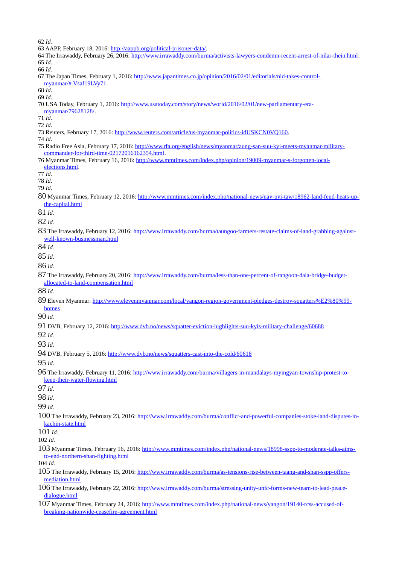*Id.*

- 63 AAPP, February 18, 2016: [http://aappb.org/political-prisoner-data/.](http://aappb.org/political-prisoner-data/)
- 64 The Irrawaddy, February 26, 2016: [http://www.irrawaddy.com/burma/activists-lawyers-condemn-recent-arrest-of-nilar-thein.html.](http://www.irrawaddy.com/burma/activists-lawyers-condemn-recent-arrest-of-nilar-thein.html) *Id.*

*Id.*

- 67 The Japan Times, February 1, 2016: [http://www.japantimes.co.jp/opinion/2016/02/01/editorials/nld-takes-control](http://www.japantimes.co.jp/opinion/2016/02/01/editorials/nld-takes-control-myanmar/#.Vsaf19LVy71)[myanmar/#.Vsaf19LVy71.](http://www.japantimes.co.jp/opinion/2016/02/01/editorials/nld-takes-control-myanmar/#.Vsaf19LVy71)
- *Id*.
- *Id*.
- 70 USA Today, February 1, 2016: [http://www.usatoday.com/story/news/world/2016/02/01/new-parliamentary-era-](http://www.usatoday.com/story/news/world/2016/02/01/new-parliamentary-era-myanmar/79628128/)
- [myanmar/79628128/.](http://www.usatoday.com/story/news/world/2016/02/01/new-parliamentary-era-myanmar/79628128/)

*Id*.

- *Id*.
- 73 Reuters, February 17, 2016: [http://www.reuters.com/article/us-myanmar-politics-idUSKCN0VQ160.](http://www.reuters.com/article/us-myanmar-politics-idUSKCN0VQ160)

*Id*.

- 75 Radio Free Asia, February 17, 2016: [http://www.rfa.org/english/news/myanmar/aung-san-suu-kyi-meets-myanmar-military](http://www.rfa.org/english/news/myanmar/aung-san-suu-kyi-meets-myanmar-military-commander-for-third-time-02172016162354.html)[commander-for-third-time-02172016162354.html.](http://www.rfa.org/english/news/myanmar/aung-san-suu-kyi-meets-myanmar-military-commander-for-third-time-02172016162354.html)
- 76 Myanmar Times, February 16, 2016: [http://www.mmtimes.com/index.php/opinion/19009-myanmar-s-forgotten-local](http://www.mmtimes.com/index.php/opinion/19009-myanmar-s-forgotten-local-elections.html)[elections.html.](http://www.mmtimes.com/index.php/opinion/19009-myanmar-s-forgotten-local-elections.html)
- *Id*.

*Id*.

- *Id*.
- Myanmar Times, February 12, 2016: [http://www.mmtimes.com/index.php/national-news/nay-pyi-taw/18962-land-feud-heats-up](http://www.mmtimes.com/index.php/national-news/nay-pyi-taw/18962-land-feud-heats-up-the-capital.html)[the-capital.html](http://www.mmtimes.com/index.php/national-news/nay-pyi-taw/18962-land-feud-heats-up-the-capital.html)
- *Id.*

*Id.*

 The Irrawaddy, February 12, 2016: [http://www.irrawaddy.com/burma/taungoo-farmers-restate-claims-of-land-grabbing-against](http://www.irrawaddy.com/burma/taungoo-farmers-restate-claims-of-land-grabbing-against-well-known-businessman.html)[well-known-businessman.html](http://www.irrawaddy.com/burma/taungoo-farmers-restate-claims-of-land-grabbing-against-well-known-businessman.html)

*Id.*

*Id.*

*Id.*

 The Irrawaddy, February 20, 2016: [http://www.irrawaddy.com/burma/less-than-one-percent-of-rangoon-dala-bridge-budget](http://www.irrawaddy.com/burma/less-than-one-percent-of-rangoon-dala-bridge-budget-allocated-to-land-compensation.html)[allocated-to-land-compensation.html](http://www.irrawaddy.com/burma/less-than-one-percent-of-rangoon-dala-bridge-budget-allocated-to-land-compensation.html)

*Id.*

89 Eleven Myanmar: [http://www.elevenmyanmar.com/local/yangon-region-government-pledges-destroy-squatters%E2%80%99](http://www.elevenmyanmar.com/local/yangon-region-government-pledges-destroy-squatters%E2%80%99-homes) [homes](http://www.elevenmyanmar.com/local/yangon-region-government-pledges-destroy-squatters%E2%80%99-homes)

*Id.*

DVB, February 12, 2016:<http://www.dvb.no/news/squatter-eviction-highlights-suu-kyis-military-challenge/60688>

*Id.*

*Id.*

DVB, February 5, 2016:<http://www.dvb.no/news/squatters-cast-into-the-cold/60618>

*Id.*

 The Irrawaddy, February 11, 2016: [http://www.irrawaddy.com/burma/villagers-in-mandalays-myingyan-township-protest-to](http://www.irrawaddy.com/burma/villagers-in-mandalays-myingyan-township-protest-to-keep-their-water-flowing.html)[keep-their-water-flowing.html](http://www.irrawaddy.com/burma/villagers-in-mandalays-myingyan-township-protest-to-keep-their-water-flowing.html)

*Id.*

*Id.*

*Id.*

 The Irrawaddy, February 23, 2016: [http://www.irrawaddy.com/burma/conflict-and-powerful-companies-stoke-land-disputes-in](http://www.irrawaddy.com/burma/conflict-and-powerful-companies-stoke-land-disputes-in-kachin-state.html)[kachin-state.html](http://www.irrawaddy.com/burma/conflict-and-powerful-companies-stoke-land-disputes-in-kachin-state.html)

*Id.*

*Id.*

 Myanmar Times, February 16, 2016: [http://www.mmtimes.com/index.php/national-news/18998-sspp-to-moderate-talks-aims](http://www.mmtimes.com/index.php/national-news/18998-sspp-to-moderate-talks-aims-to-end-northern-shan-fighting.html)[to-end-northern-shan-fighting.html](http://www.mmtimes.com/index.php/national-news/18998-sspp-to-moderate-talks-aims-to-end-northern-shan-fighting.html)

*Id.*

- The Irrawaddy, February 15, 2016: [http://www.irrawaddy.com/burma/as-tensions-rise-between-taang-and-shan-sspp-offers](http://www.irrawaddy.com/burma/as-tensions-rise-between-taang-and-shan-sspp-offers-mediation.html)[mediation.html](http://www.irrawaddy.com/burma/as-tensions-rise-between-taang-and-shan-sspp-offers-mediation.html)
- The Irrawaddy, February 22, 2016: [http://www.irrawaddy.com/burma/stressing-unity-unfc-forms-new-team-to-lead-peace](http://www.irrawaddy.com/burma/stressing-unity-unfc-forms-new-team-to-lead-peace-dialogue.html)[dialogue.html](http://www.irrawaddy.com/burma/stressing-unity-unfc-forms-new-team-to-lead-peace-dialogue.html)
- Myanmar Times, February 24, 2016: [http://www.mmtimes.com/index.php/national-news/yangon/19140-rcss-accused-of](http://www.mmtimes.com/index.php/national-news/yangon/19140-rcss-accused-of-breaking-nationwide-ceasefire-agreement.html)[breaking-nationwide-ceasefire-agreement.html](http://www.mmtimes.com/index.php/national-news/yangon/19140-rcss-accused-of-breaking-nationwide-ceasefire-agreement.html)